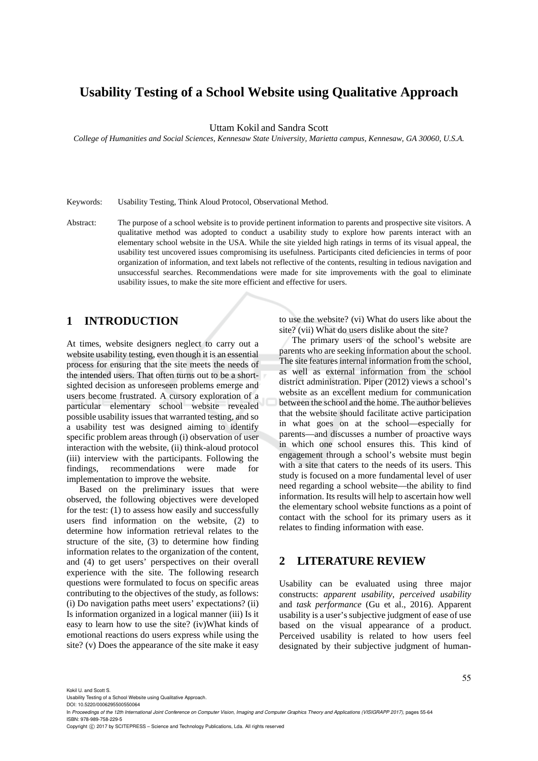# **Usability Testing of a School Website using Qualitative Approach**

Uttam Kokil and Sandra Scott

*College of Humanities and Social Sciences, Kennesaw State University, Marietta campus, Kennesaw, GA 30060, U.S.A.* 

Keywords: Usability Testing, Think Aloud Protocol, Observational Method.

Abstract: The purpose of a school website is to provide pertinent information to parents and prospective site visitors. A qualitative method was adopted to conduct a usability study to explore how parents interact with an elementary school website in the USA. While the site yielded high ratings in terms of its visual appeal, the usability test uncovered issues compromising its usefulness. Participants cited deficiencies in terms of poor organization of information, and text labels not reflective of the contents, resulting in tedious navigation and unsuccessful searches. Recommendations were made for site improvements with the goal to eliminate usability issues, to make the site more efficient and effective for users.

# **1 INTRODUCTION**

At times, website designers neglect to carry out a website usability testing, even though it is an essential process for ensuring that the site meets the needs of the intended users. That often turns out to be a shortsighted decision as unforeseen problems emerge and users become frustrated. A cursory exploration of a particular elementary school website revealed possible usability issues that warranted testing, and so a usability test was designed aiming to identify specific problem areas through (i) observation of user interaction with the website, (ii) think-aloud protocol (iii) interview with the participants. Following the findings, recommendations were made for implementation to improve the website.

Based on the preliminary issues that were observed, the following objectives were developed for the test: (1) to assess how easily and successfully users find information on the website, (2) to determine how information retrieval relates to the structure of the site, (3) to determine how finding information relates to the organization of the content, and (4) to get users' perspectives on their overall experience with the site. The following research questions were formulated to focus on specific areas contributing to the objectives of the study, as follows: (i) Do navigation paths meet users' expectations? (ii) Is information organized in a logical manner (iii) Is it easy to learn how to use the site? (iv)What kinds of emotional reactions do users express while using the site? (v) Does the appearance of the site make it easy to use the website? (vi) What do users like about the site? (vii) What do users dislike about the site?

The primary users of the school's website are parents who are seeking information about the school. The site features internal information from the school, as well as external information from the school district administration. Piper (2012) views a school's website as an excellent medium for communication between the school and the home. The author believes that the website should facilitate active participation in what goes on at the school—especially for parents—and discusses a number of proactive ways in which one school ensures this. This kind of engagement through a school's website must begin with a site that caters to the needs of its users. This study is focused on a more fundamental level of user need regarding a school website—the ability to find information. Its results will help to ascertain how well the elementary school website functions as a point of contact with the school for its primary users as it relates to finding information with ease.

# **2 LITERATURE REVIEW**

Usability can be evaluated using three major constructs: *apparent usability*, *perceived usability* and *task performance* (Gu et al., 2016). Apparent usability is a user's subjective judgment of ease of use based on the visual appearance of a product. Perceived usability is related to how users feel designated by their subjective judgment of human-

Kokil U. and Scott S.

Usability Testing of a School Website using Qualitative Approach.

DOI: 10.5220/0006295500550064

In *Proceedings of the 12th International Joint Conference on Computer Vision, Imaging and Computer Graphics Theory and Applications (VISIGRAPP 2017)*, pages 55-64 ISBN: 978-989-758-229-5

Copyright © 2017 by SCITEPRESS - Science and Technology Publications, Lda. All rights reserved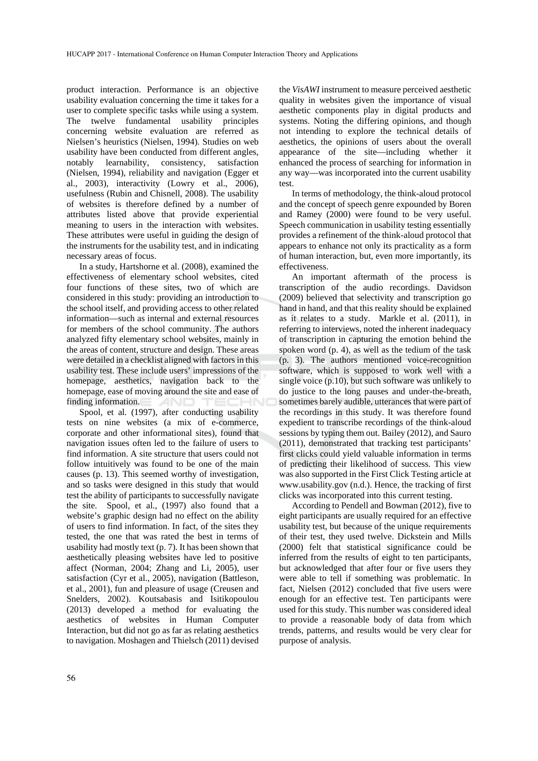product interaction. Performance is an objective usability evaluation concerning the time it takes for a user to complete specific tasks while using a system. The twelve fundamental usability principles concerning website evaluation are referred as Nielsen's heuristics (Nielsen, 1994). Studies on web usability have been conducted from different angles, notably learnability, consistency, satisfaction (Nielsen, 1994), reliability and navigation (Egger et al., 2003), interactivity (Lowry et al., 2006), usefulness (Rubin and Chisnell, 2008). The usability of websites is therefore defined by a number of attributes listed above that provide experiential meaning to users in the interaction with websites. These attributes were useful in guiding the design of the instruments for the usability test, and in indicating necessary areas of focus.

In a study, Hartshorne et al. (2008), examined the effectiveness of elementary school websites, cited four functions of these sites, two of which are considered in this study: providing an introduction to the school itself, and providing access to other related information—such as internal and external resources for members of the school community. The authors analyzed fifty elementary school websites, mainly in the areas of content, structure and design. These areas were detailed in a checklist aligned with factors in this usability test. These include users' impressions of the homepage, aesthetics, navigation back to the homepage, ease of moving around the site and ease of finding information. AND

Spool, et al. (1997), after conducting usability tests on nine websites (a mix of e-commerce, corporate and other informational sites), found that navigation issues often led to the failure of users to find information. A site structure that users could not follow intuitively was found to be one of the main causes (p. 13). This seemed worthy of investigation, and so tasks were designed in this study that would test the ability of participants to successfully navigate the site. Spool, et al., (1997) also found that a website's graphic design had no effect on the ability of users to find information. In fact, of the sites they tested, the one that was rated the best in terms of usability had mostly text (p. 7). It has been shown that aesthetically pleasing websites have led to positive affect (Norman, 2004; Zhang and Li, 2005), user satisfaction (Cyr et al., 2005), navigation (Battleson, et al., 2001), fun and pleasure of usage (Creusen and Snelders, 2002). Koutsabasis and Isitikopoulou (2013) developed a method for evaluating the aesthetics of websites in Human Computer Interaction, but did not go as far as relating aesthetics to navigation. Moshagen and Thielsch (2011) devised

the *VisAWI* instrument to measure perceived aesthetic quality in websites given the importance of visual aesthetic components play in digital products and systems. Noting the differing opinions, and though not intending to explore the technical details of aesthetics, the opinions of users about the overall appearance of the site—including whether it enhanced the process of searching for information in any way—was incorporated into the current usability test.

In terms of methodology, the think-aloud protocol and the concept of speech genre expounded by Boren and Ramey (2000) were found to be very useful. Speech communication in usability testing essentially provides a refinement of the think-aloud protocol that appears to enhance not only its practicality as a form of human interaction, but, even more importantly, its effectiveness.

An important aftermath of the process is transcription of the audio recordings. Davidson (2009) believed that selectivity and transcription go hand in hand, and that this reality should be explained as it relates to a study. Markle et al. (2011), in referring to interviews, noted the inherent inadequacy of transcription in capturing the emotion behind the spoken word (p. 4), as well as the tedium of the task (p. 3). The authors mentioned voice-recognition software, which is supposed to work well with a single voice (p.10), but such software was unlikely to do justice to the long pauses and under-the-breath, sometimes barely audible, utterances that were part of the recordings in this study. It was therefore found expedient to transcribe recordings of the think-aloud sessions by typing them out. Bailey (2012), and Sauro (2011), demonstrated that tracking test participants' first clicks could yield valuable information in terms of predicting their likelihood of success. This view was also supported in the First Click Testing article at www.usability.gov (n.d.). Hence, the tracking of first clicks was incorporated into this current testing.

According to Pendell and Bowman (2012), five to eight participants are usually required for an effective usability test, but because of the unique requirements of their test, they used twelve. Dickstein and Mills (2000) felt that statistical significance could be inferred from the results of eight to ten participants, but acknowledged that after four or five users they were able to tell if something was problematic. In fact, Nielsen (2012) concluded that five users were enough for an effective test. Ten participants were used for this study. This number was considered ideal to provide a reasonable body of data from which trends, patterns, and results would be very clear for purpose of analysis.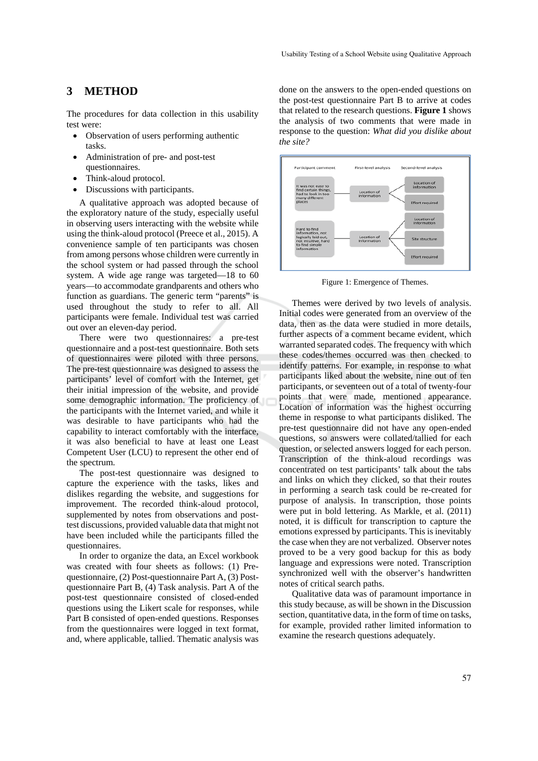## **3 METHOD**

The procedures for data collection in this usability test were:

- Observation of users performing authentic tasks.
- Administration of pre- and post-test questionnaires.
- Think-aloud protocol.
- Discussions with participants.

A qualitative approach was adopted because of the exploratory nature of the study, especially useful in observing users interacting with the website while using the think-aloud protocol (Preece et al., 2015). A convenience sample of ten participants was chosen from among persons whose children were currently in the school system or had passed through the school system. A wide age range was targeted—18 to 60 years—to accommodate grandparents and others who function as guardians. The generic term "parents" is used throughout the study to refer to all. All participants were female. Individual test was carried out over an eleven-day period.

There were two questionnaires: a pre-test questionnaire and a post-test questionnaire. Both sets of questionnaires were piloted with three persons. The pre-test questionnaire was designed to assess the participants' level of comfort with the Internet, get their initial impression of the website, and provide some demographic information. The proficiency of the participants with the Internet varied, and while it was desirable to have participants who had the capability to interact comfortably with the interface, it was also beneficial to have at least one Least Competent User (LCU) to represent the other end of the spectrum.

The post-test questionnaire was designed to capture the experience with the tasks, likes and dislikes regarding the website, and suggestions for improvement. The recorded think-aloud protocol, supplemented by notes from observations and posttest discussions, provided valuable data that might not have been included while the participants filled the questionnaires.

In order to organize the data, an Excel workbook was created with four sheets as follows: (1) Prequestionnaire, (2) Post-questionnaire Part A, (3) Postquestionnaire Part B, (4) Task analysis. Part A of the post-test questionnaire consisted of closed-ended questions using the Likert scale for responses, while Part B consisted of open-ended questions. Responses from the questionnaires were logged in text format, and, where applicable, tallied. Thematic analysis was

done on the answers to the open-ended questions on the post-test questionnaire Part B to arrive at codes that related to the research questions. **Figure 1** shows the analysis of two comments that were made in response to the question: *What did you dislike about the site?*



Figure 1: Emergence of Themes.

Themes were derived by two levels of analysis. Initial codes were generated from an overview of the data, then as the data were studied in more details, further aspects of a comment became evident, which warranted separated codes. The frequency with which these codes/themes occurred was then checked to identify patterns. For example, in response to what participants liked about the website, nine out of ten participants, or seventeen out of a total of twenty-four points that were made, mentioned appearance. Location of information was the highest occurring theme in response to what participants disliked. The pre-test questionnaire did not have any open-ended questions, so answers were collated/tallied for each question, or selected answers logged for each person. Transcription of the think-aloud recordings was concentrated on test participants' talk about the tabs and links on which they clicked, so that their routes in performing a search task could be re-created for purpose of analysis. In transcription, those points were put in bold lettering. As Markle, et al. (2011) noted, it is difficult for transcription to capture the emotions expressed by participants. This is inevitably the case when they are not verbalized. Observer notes proved to be a very good backup for this as body language and expressions were noted. Transcription synchronized well with the observer's handwritten notes of critical search paths.

Qualitative data was of paramount importance in this study because, as will be shown in the Discussion section, quantitative data, in the form of time on tasks, for example, provided rather limited information to examine the research questions adequately.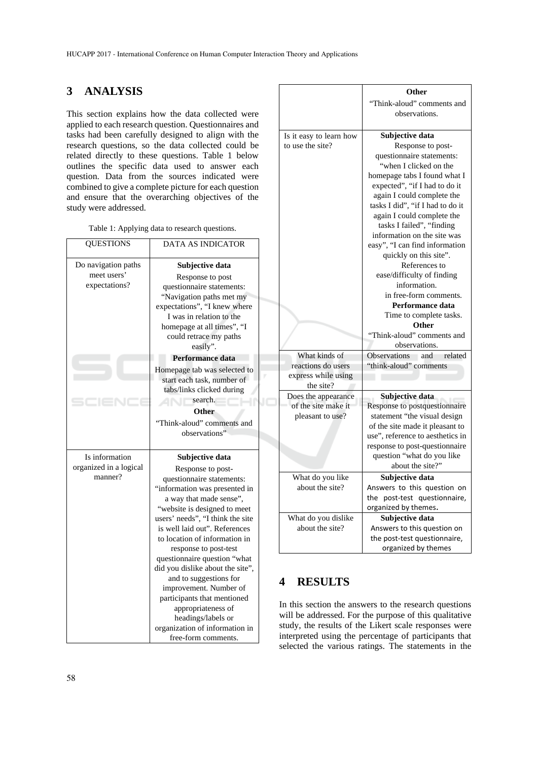# **3 ANALYSIS**

This section explains how the data collected were applied to each research question. Questionnaires and tasks had been carefully designed to align with the research questions, so the data collected could be related directly to these questions. Table 1 below outlines the specific data used to answer each question. Data from the sources indicated were combined to give a complete picture for each question and ensure that the overarching objectives of the study were addressed.

| <b>QUESTIONS</b>                                    | <b>DATA AS INDICATOR</b>                                                                                                                                                                                                                                                                                                                                                                                                                               |
|-----------------------------------------------------|--------------------------------------------------------------------------------------------------------------------------------------------------------------------------------------------------------------------------------------------------------------------------------------------------------------------------------------------------------------------------------------------------------------------------------------------------------|
| Do navigation paths<br>meet users'<br>expectations? | Subjective data<br>Response to post<br>questionnaire statements:<br>"Navigation paths met my<br>expectations", "I knew where<br>I was in relation to the<br>homepage at all times", "I<br>could retrace my paths<br>easily".                                                                                                                                                                                                                           |
|                                                     | Performance data                                                                                                                                                                                                                                                                                                                                                                                                                                       |
|                                                     | Homepage tab was selected to<br>start each task, number of<br>tabs/links clicked during<br>search.<br>Other<br>"Think-aloud" comments and<br>observations"                                                                                                                                                                                                                                                                                             |
| Is information                                      | Subjective data                                                                                                                                                                                                                                                                                                                                                                                                                                        |
| organized in a logical<br>manner?                   | Response to post-<br>questionnaire statements:<br>"information was presented in<br>a way that made sense",<br>"website is designed to meet<br>users' needs", "I think the site<br>is well laid out". References<br>to location of information in<br>response to post-test<br>questionnaire question "what<br>did you dislike about the site",<br>and to suggestions for<br>improvement. Number of<br>participants that mentioned<br>appropriateness of |

|                         | Other                                                               |
|-------------------------|---------------------------------------------------------------------|
|                         | "Think-aloud" comments and                                          |
|                         | observations.                                                       |
|                         |                                                                     |
| Is it easy to learn how | Subjective data                                                     |
| to use the site?        | Response to post-                                                   |
|                         | questionnaire statements:                                           |
|                         | "when I clicked on the                                              |
|                         | homepage tabs I found what I                                        |
|                         | expected", "if I had to do it                                       |
|                         | again I could complete the                                          |
|                         | tasks I did", "if I had to do it                                    |
|                         | again I could complete the<br>tasks I failed", "finding             |
|                         | information on the site was                                         |
|                         | easy", "I can find information                                      |
|                         | quickly on this site".                                              |
|                         | References to                                                       |
|                         | ease/difficulty of finding                                          |
|                         | information.                                                        |
|                         | in free-form comments.                                              |
|                         | Performance data                                                    |
|                         | Time to complete tasks.                                             |
|                         | Other                                                               |
|                         | "Think-aloud" comments and                                          |
|                         | observations.                                                       |
| What kinds of           | <b>Observations</b><br>related<br>and                               |
| reactions do users      | "think-aloud" comments                                              |
| express while using     |                                                                     |
| the site?               |                                                                     |
| Does the appearance     | Subjective data                                                     |
| of the site make it     | Response to postquestionnaire                                       |
| pleasant to use?        | statement "the visual design                                        |
|                         | of the site made it pleasant to<br>use", reference to aesthetics in |
|                         | response to post-questionnaire                                      |
|                         | question "what do you like                                          |
|                         | about the site?"                                                    |
| What do you like        | Subjective data                                                     |
| about the site?         | Answers to this question on                                         |
|                         | the post-test questionnaire,                                        |
|                         | organized by themes.                                                |
| What do you dislike     | Subjective data                                                     |
| about the site?         | Answers to this question on                                         |
|                         | the post-test questionnaire,                                        |
|                         | organized by themes                                                 |

# **4 RESULTS**

In this section the answers to the research questions will be addressed. For the purpose of this qualitative study, the results of the Likert scale responses were interpreted using the percentage of participants that selected the various ratings. The statements in the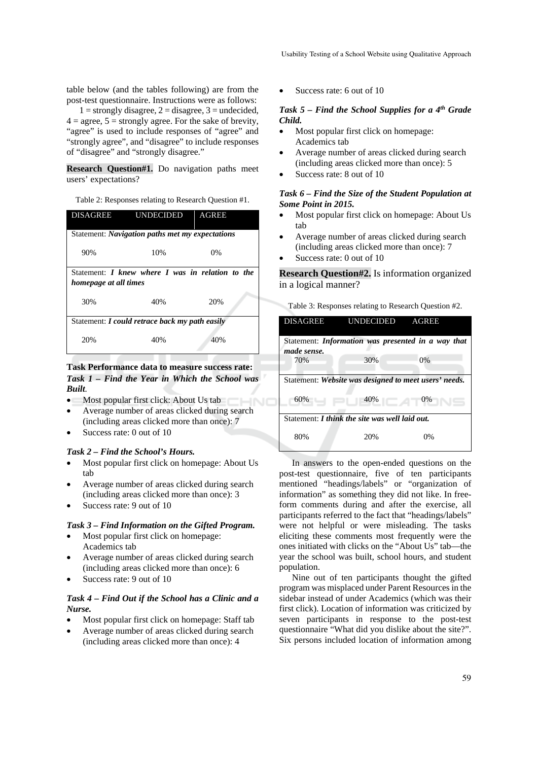table below (and the tables following) are from the post-test questionnaire. Instructions were as follows:

 $1 =$  strongly disagree,  $2 =$  disagree,  $3 =$  undecided,  $4 = \text{agree}, 5 = \text{strongly agree}.$  For the sake of brevity, "agree" is used to include responses of "agree" and "strongly agree", and "disagree" to include responses of "disagree" and "strongly disagree."

**Research Question#1.** Do navigation paths meet users' expectations?

Table 2: Responses relating to Research Question #1.

| <b>DISAGREE</b>       | UNDECIDED                                        | <b>AGREE</b> |
|-----------------------|--------------------------------------------------|--------------|
|                       | Statement: Navigation paths met my expectations  |              |
| 90%                   | 10%                                              | $0\%$        |
| homepage at all times | Statement: I knew where I was in relation to the |              |
| 30%                   | 40%                                              | 20%          |
|                       | Statement: I could retrace back my path easily   |              |
| 20%                   | 40%                                              | 40%          |

**Task Performance data to measure success rate:**  *Task 1 – Find the Year in Which the School was Built.* 

- Most popular first click: About Us tab
- Average number of areas clicked during search (including areas clicked more than once): 7
- Success rate: 0 out of 10

### *Task 2 – Find the School's Hours.*

- Most popular first click on homepage: About Us tab
- Average number of areas clicked during search (including areas clicked more than once): 3
- Success rate: 9 out of 10

#### *Task 3 – Find Information on the Gifted Program.*

- Most popular first click on homepage: Academics tab
- Average number of areas clicked during search (including areas clicked more than once): 6
- Success rate: 9 out of 10

### *Task 4 – Find Out if the School has a Clinic and a Nurse.*

- Most popular first click on homepage: Staff tab
- Average number of areas clicked during search (including areas clicked more than once): 4

Success rate: 6 out of 10

#### *Task 5 – Find the School Supplies for a 4th Grade Child.*

- Most popular first click on homepage: Academics tab
- Average number of areas clicked during search (including areas clicked more than once): 5
- Success rate: 8 out of 10

### *Task 6 – Find the Size of the Student Population at Some Point in 2015.*

- Most popular first click on homepage: About Us tab
- Average number of areas clicked during search (including areas clicked more than once): 7
- Success rate: 0 out of 10

HNO

**Research Question#2.** Is information organized in a logical manner?

Table 3: Responses relating to Research Question #2.

| <b>DISAGREE</b>                                       | <b>UNDECIDED</b>                                   | <b>AGREE</b> |
|-------------------------------------------------------|----------------------------------------------------|--------------|
| made sense.                                           | Statement: Information was presented in a way that |              |
| 70%                                                   | 30%                                                | 0%           |
| Statement: Website was designed to meet users' needs. |                                                    |              |
| 60%                                                   | 40%                                                | 0%           |
| Statement: <i>I think the site was well laid out.</i> |                                                    |              |
| 80%                                                   | 20%                                                | 0%           |

In answers to the open-ended questions on the post-test questionnaire, five of ten participants mentioned "headings/labels" or "organization of information" as something they did not like. In freeform comments during and after the exercise, all participants referred to the fact that "headings/labels" were not helpful or were misleading. The tasks eliciting these comments most frequently were the ones initiated with clicks on the "About Us" tab—the year the school was built, school hours, and student population.

Nine out of ten participants thought the gifted program was misplaced under Parent Resources in the sidebar instead of under Academics (which was their first click). Location of information was criticized by seven participants in response to the post-test questionnaire "What did you dislike about the site?". Six persons included location of information among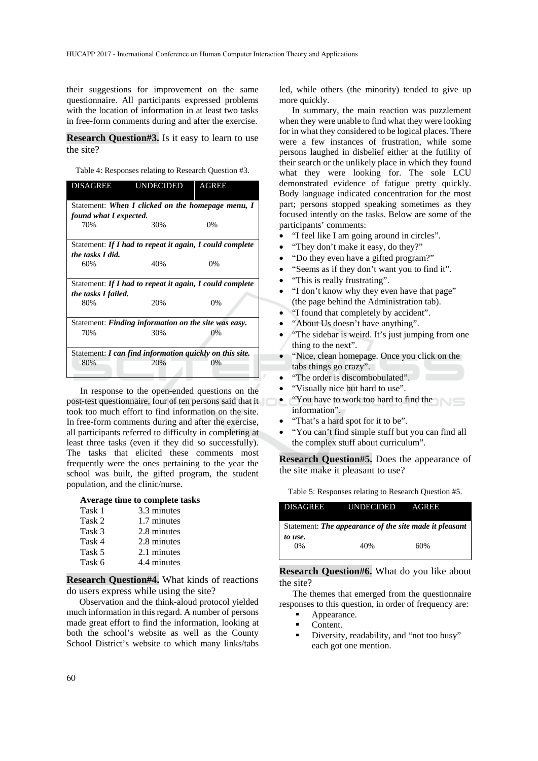their suggestions for improvement on the same questionnaire. All participants expressed problems with the location of information in at least two tasks in free-form comments during and after the exercise.

**Research Question#3.** Is it easy to learn to use the site?

Table 4: Responses relating to Research Question #3.

| <b>DISAGREE</b>        | UNDECIDED AGREE                                          |       |
|------------------------|----------------------------------------------------------|-------|
|                        | Statement: When I clicked on the homepage menu, I        |       |
| found what I expected. |                                                          |       |
| 70%                    | 30%                                                      | $0\%$ |
|                        | Statement: If I had to repeat it again, I could complete |       |
| the tasks I did.       |                                                          |       |
| 60%                    | 40%                                                      | $0\%$ |
|                        | Statement: If I had to repeat it again, I could complete |       |
| the tasks I failed.    |                                                          |       |
| 80%                    | 20%                                                      | 0%    |
|                        | Statement: Finding information on the site was easy.     |       |
| 70%                    | 30%                                                      | $0\%$ |
|                        | Statement: I can find information quickly on this site.  |       |
| 80%                    | 20%                                                      | 0%    |

In response to the open-ended questions on the post-test questionnaire, four of ten persons said that it took too much effort to find information on the site. In free-form comments during and after the exercise, all participants referred to difficulty in completing at least three tasks (even if they did so successfully). The tasks that elicited these comments most frequently were the ones pertaining to the year the school was built, the gifted program, the student population, and the clinic/nurse.

#### **Average time to complete tasks**

| Task 1 | 3.3 minutes |
|--------|-------------|
| Task 2 | 1.7 minutes |
| Task 3 | 2.8 minutes |
| Task 4 | 2.8 minutes |
| Task 5 | 2.1 minutes |
| Task 6 | 4.4 minutes |

**Research Question#4.** What kinds of reactions do users express while using the site?

Observation and the think-aloud protocol yielded much information in this regard. A number of persons made great effort to find the information, looking at both the school's website as well as the County School District's website to which many links/tabs led, while others (the minority) tended to give up more quickly.

In summary, the main reaction was puzzlement when they were unable to find what they were looking for in what they considered to be logical places. There were a few instances of frustration, while some persons laughed in disbelief either at the futility of their search or the unlikely place in which they found what they were looking for. The sole LCU demonstrated evidence of fatigue pretty quickly. Body language indicated concentration for the most part; persons stopped speaking sometimes as they focused intently on the tasks. Below are some of the participants' comments:

- "I feel like I am going around in circles".
- "They don't make it easy, do they?"
- "Do they even have a gifted program?"
- "Seems as if they don't want you to find it".
- "This is really frustrating".
- "I don't know why they even have that page" (the page behind the Administration tab).
- "I found that completely by accident".
- "About Us doesn't have anything".
- "The sidebar is weird. It's just jumping from one thing to the next".
- "Nice, clean homepage. Once you click on the tabs things go crazy".
- "The order is discombobulated".
- "Visually nice but hard to use".
- "You have to work too hard to find the information".
- "That's a hard spot for it to be".
- "You can't find simple stuff but you can find all the complex stuff about curriculum".

**Research Question#5.** Does the appearance of the site make it pleasant to use?

Table 5: Responses relating to Research Question #5.

| <b>DISAGREE</b>                                        | UNDECIDED | AGREE |  |
|--------------------------------------------------------|-----------|-------|--|
| Statement: The appearance of the site made it pleasant |           |       |  |
| to use.<br>0%                                          | 40%       | 60%   |  |

### **Research Question#6.** What do you like about the site?

The themes that emerged from the questionnaire responses to this question, in order of frequency are:

- Appearance.
- Content.
- Diversity, readability, and "not too busy" each got one mention.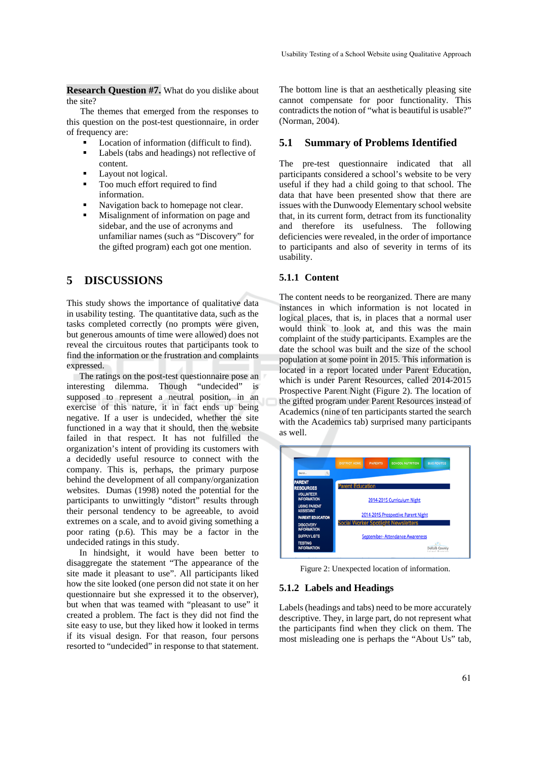**Research Question #7.** What do you dislike about the site?

The themes that emerged from the responses to this question on the post-test questionnaire, in order of frequency are:

- Location of information (difficult to find).
- Labels (tabs and headings) not reflective of content.
- Layout not logical.
- Too much effort required to find information.
- Navigation back to homepage not clear.
- Misalignment of information on page and sidebar, and the use of acronyms and unfamiliar names (such as "Discovery" for the gifted program) each got one mention.

## **5 DISCUSSIONS**

This study shows the importance of qualitative data in usability testing. The quantitative data, such as the tasks completed correctly (no prompts were given, but generous amounts of time were allowed) does not reveal the circuitous routes that participants took to find the information or the frustration and complaints expressed.

The ratings on the post-test questionnaire pose an interesting dilemma. Though "undecided" is supposed to represent a neutral position, in an exercise of this nature, it in fact ends up being negative. If a user is undecided, whether the site functioned in a way that it should, then the website failed in that respect. It has not fulfilled the organization's intent of providing its customers with a decidedly useful resource to connect with the company. This is, perhaps, the primary purpose behind the development of all company/organization websites. Dumas (1998) noted the potential for the participants to unwittingly "distort" results through their personal tendency to be agreeable, to avoid extremes on a scale, and to avoid giving something a poor rating (p.6). This may be a factor in the undecided ratings in this study.

In hindsight, it would have been better to disaggregate the statement "The appearance of the site made it pleasant to use". All participants liked how the site looked (one person did not state it on her questionnaire but she expressed it to the observer), but when that was teamed with "pleasant to use" it created a problem. The fact is they did not find the site easy to use, but they liked how it looked in terms if its visual design. For that reason, four persons resorted to "undecided" in response to that statement.

The bottom line is that an aesthetically pleasing site cannot compensate for poor functionality. This contradicts the notion of "what is beautiful is usable?" (Norman, 2004).

### **5.1 Summary of Problems Identified**

The pre-test questionnaire indicated that all participants considered a school's website to be very useful if they had a child going to that school. The data that have been presented show that there are issues with the Dunwoody Elementary school website that, in its current form, detract from its functionality and therefore its usefulness. The following deficiencies were revealed, in the order of importance to participants and also of severity in terms of its usability.

### **5.1.1 Content**

The content needs to be reorganized. There are many instances in which information is not located in logical places, that is, in places that a normal user would think to look at, and this was the main complaint of the study participants. Examples are the date the school was built and the size of the school population at some point in 2015. This information is located in a report located under Parent Education, which is under Parent Resources, called 2014-2015 Prospective Parent Night (Figure 2). The location of the gifted program under Parent Resources instead of Academics (nine of ten participants started the search with the Academics tab) surprised many participants as well.



Figure 2: Unexpected location of information.

### **5.1.2 Labels and Headings**

Labels (headings and tabs) need to be more accurately descriptive. They, in large part, do not represent what the participants find when they click on them. The most misleading one is perhaps the "About Us" tab,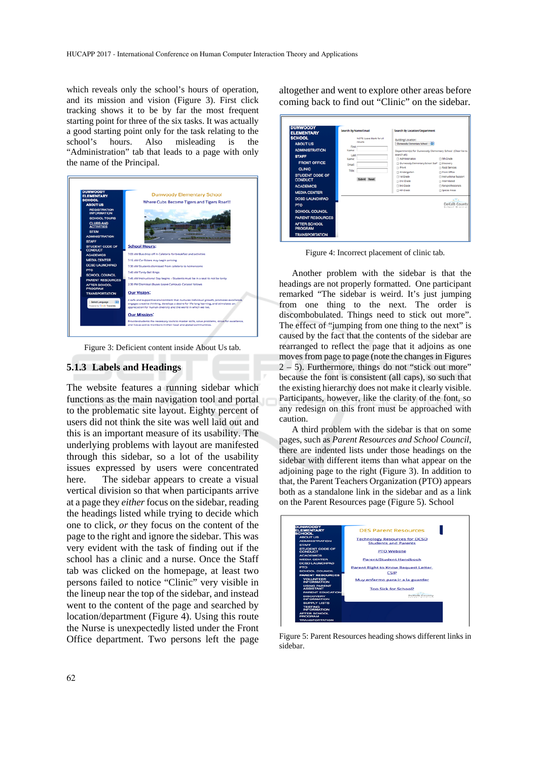which reveals only the school's hours of operation, and its mission and vision (Figure 3). First click tracking shows it to be by far the most frequent starting point for three of the six tasks. It was actually a good starting point only for the task relating to the school's hours. Also misleading is the "Administration" tab that leads to a page with only the name of the Principal.



Figure 3: Deficient content inside About Us tab.

#### **5.1.3 Labels and Headings**

The website features a running sidebar which functions as the main navigation tool and portal to the problematic site layout. Eighty percent of users did not think the site was well laid out and this is an important measure of its usability. The underlying problems with layout are manifested through this sidebar, so a lot of the usability issues expressed by users were concentrated here. The sidebar appears to create a visual vertical division so that when participants arrive at a page they *either* focus on the sidebar, reading the headings listed while trying to decide which one to click, *or* they focus on the content of the page to the right and ignore the sidebar. This was very evident with the task of finding out if the school has a clinic and a nurse. Once the Staff tab was clicked on the homepage, at least two persons failed to notice "Clinic" very visible in the lineup near the top of the sidebar, and instead went to the content of the page and searched by location/department (Figure 4). Using this route the Nurse is unexpectedly listed under the Front Office department. Two persons left the page

altogether and went to explore other areas before coming back to find out "Clinic" on the sidebar.

| <b>DUNWOODY</b><br><b>ELEMENTARY</b>                                    | Search By Name/Email                          | Search By Location/Department                                                      |                                                        |
|-------------------------------------------------------------------------|-----------------------------------------------|------------------------------------------------------------------------------------|--------------------------------------------------------|
| <b>SCHOOL</b><br><b>ABOUT US</b>                                        | NOTE: Leave blank for all<br>results<br>First | Building/Location:<br>Dunwoody Elementary School   2                               |                                                        |
| <b>ADMINISTRATION</b><br><b>STAFF</b>                                   | Name:<br>Last                                 | Department(s) for Dunwoody Elementary School (Clear list to<br>search all:         |                                                        |
| <b>FRONT OFFICE</b>                                                     | Name:<br>Email:                               | Administration<br>D Dunwoody Elementary School Staff D Discovery<br><b>D</b> Pre-K | C) 5th Grade<br><b>Food Services</b>                   |
| <b>CLINIC</b><br><b>STUDENT CODE OF</b><br><b>CONDUCT</b>               | Title:<br>Submit Reset                        | C Kindergarten<br><sup>1</sup> st Grade<br>m 2nd Grade                             | Front Office<br>nstructional Support<br>m Interrelated |
| <b>ACADEMICS</b><br><b>MEDIA CENTER</b>                                 |                                               | <b>El 3rd Grade</b><br>C) 4th Grade                                                | Paraprofessionals<br><b>CI Special Areas</b>           |
| <b>DCSD LAUNCHPAD</b><br><b>PTO</b>                                     |                                               |                                                                                    | s Ya<br>DeKalb County<br>School Dist                   |
| <b>SCHOOL COUNCIL</b><br><b>PARENT RESOURCES</b><br><b>AFTER SCHOOL</b> |                                               |                                                                                    |                                                        |
| <b>PROGRAM</b><br><b>TRANSPORTATION</b>                                 |                                               |                                                                                    |                                                        |

Figure 4: Incorrect placement of clinic tab.

Another problem with the sidebar is that the headings are not properly formatted. One participant remarked "The sidebar is weird. It's just jumping from one thing to the next. The order is discombobulated. Things need to stick out more". The effect of "jumping from one thing to the next" is caused by the fact that the contents of the sidebar are rearranged to reflect the page that it adjoins as one moves from page to page (note the changes in Figures  $2 - 5$ ). Furthermore, things do not "stick out more" because the font is consistent (all caps), so such that the existing hierarchy does not make it clearly visible. Participants, however, like the clarity of the font, so any redesign on this front must be approached with caution.

A third problem with the sidebar is that on some pages, such as *Parent Resources and School Council*, there are indented lists under those headings on the sidebar with different items than what appear on the adjoining page to the right (Figure 3). In addition to that, the Parent Teachers Organization (PTO) appears both as a standalone link in the sidebar and as a link on the Parent Resources page (Figure 5). School



Figure 5: Parent Resources heading shows different links in sidebar.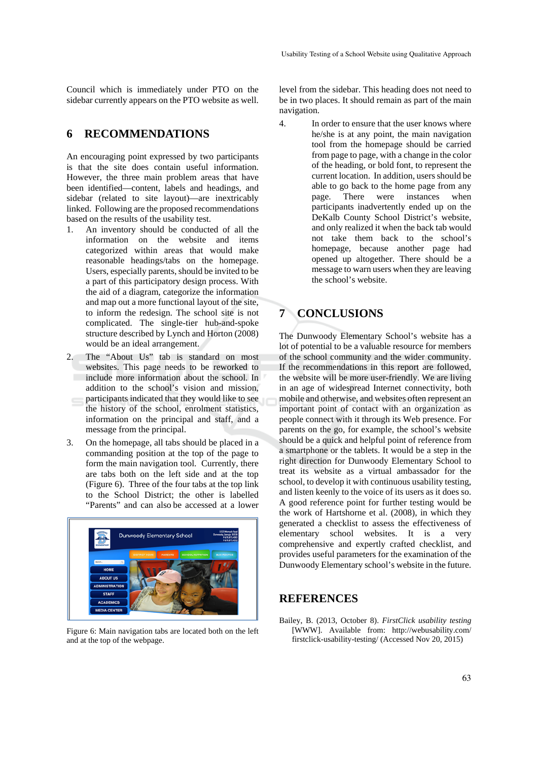Council which is immediately under PTO on the sidebar currently appears on the PTO website as well.

# **6 RECOMMENDATIONS**

An encouraging point expressed by two participants is that the site does contain useful information. However, the three main problem areas that have been identified—content, labels and headings, and sidebar (related to site layout)—are inextricably linked. Following are the proposed recommendations based on the results of the usability test.

- 1. An inventory should be conducted of all the information on the website and items categorized within areas that would make reasonable headings/tabs on the homepage. Users, especially parents, should be invited to be a part of this participatory design process. With the aid of a diagram, categorize the information and map out a more functional layout of the site, to inform the redesign. The school site is not complicated. The single-tier hub-and-spoke structure described by Lynch and Horton (2008) would be an ideal arrangement.
- 2. The "About Us" tab is standard on most websites. This page needs to be reworked to include more information about the school. In addition to the school's vision and mission, participants indicated that they would like to see the history of the school, enrolment statistics, information on the principal and staff, and a message from the principal.
- 3. On the homepage, all tabs should be placed in a commanding position at the top of the page to form the main navigation tool. Currently, there are tabs both on the left side and at the top (Figure 6). Three of the four tabs at the top link to the School District; the other is labelled "Parents" and can also be accessed at a lower



Figure 6: Main navigation tabs are located both on the left and at the top of the webpage.

level from the sidebar. This heading does not need to be in two places. It should remain as part of the main navigation.

4. In order to ensure that the user knows where he/she is at any point, the main navigation tool from the homepage should be carried from page to page, with a change in the color of the heading, or bold font, to represent the current location. In addition, users should be able to go back to the home page from any<br>nage. There were instances when page. There were instances when participants inadvertently ended up on the DeKalb County School District's website, and only realized it when the back tab would not take them back to the school's homepage, because another page had opened up altogether. There should be a message to warn users when they are leaving the school's website.

# **7 CONCLUSIONS**

The Dunwoody Elementary School's website has a lot of potential to be a valuable resource for members of the school community and the wider community. If the recommendations in this report are followed, the website will be more user-friendly. We are living in an age of widespread Internet connectivity, both mobile and otherwise, and websites often represent an important point of contact with an organization as people connect with it through its Web presence. For parents on the go, for example, the school's website should be a quick and helpful point of reference from a smartphone or the tablets. It would be a step in the right direction for Dunwoody Elementary School to treat its website as a virtual ambassador for the school, to develop it with continuous usability testing, and listen keenly to the voice of its users as it does so. A good reference point for further testing would be the work of Hartshorne et al. (2008), in which they generated a checklist to assess the effectiveness of elementary school websites. It is a very comprehensive and expertly crafted checklist, and provides useful parameters for the examination of the Dunwoody Elementary school's website in the future.

# **REFERENCES**

Bailey, B. (2013, October 8). *FirstClick usability testing*  [WWW]. Available from: http://webusability.com/ firstclick-usability-testing/ (Accessed Nov 20, 2015)